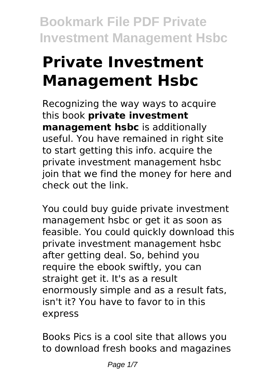# **Private Investment Management Hsbc**

Recognizing the way ways to acquire this book **private investment management hsbc** is additionally useful. You have remained in right site to start getting this info. acquire the private investment management hsbc join that we find the money for here and check out the link.

You could buy guide private investment management hsbc or get it as soon as feasible. You could quickly download this private investment management hsbc after getting deal. So, behind you require the ebook swiftly, you can straight get it. It's as a result enormously simple and as a result fats, isn't it? You have to favor to in this express

Books Pics is a cool site that allows you to download fresh books and magazines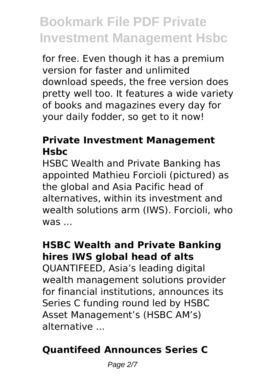for free. Even though it has a premium version for faster and unlimited download speeds, the free version does pretty well too. It features a wide variety of books and magazines every day for your daily fodder, so get to it now!

#### **Private Investment Management Hsbc**

HSBC Wealth and Private Banking has appointed Mathieu Forcioli (pictured) as the global and Asia Pacific head of alternatives, within its investment and wealth solutions arm (IWS). Forcioli, who was ...

### **HSBC Wealth and Private Banking hires IWS global head of alts**

QUANTIFEED, Asia's leading digital wealth management solutions provider for financial institutions, announces its Series C funding round led by HSBC Asset Management's (HSBC AM's) alternative ...

### **Quantifeed Announces Series C**

Page 2/7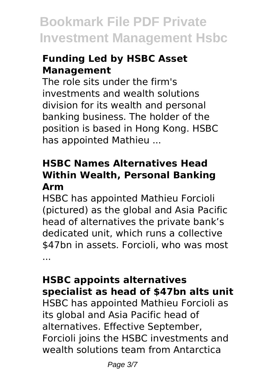### **Funding Led by HSBC Asset Management**

The role sits under the firm's investments and wealth solutions division for its wealth and personal banking business. The holder of the position is based in Hong Kong. HSBC has appointed Mathieu ...

#### **HSBC Names Alternatives Head Within Wealth, Personal Banking Arm**

HSBC has appointed Mathieu Forcioli (pictured) as the global and Asia Pacific head of alternatives the private bank's dedicated unit, which runs a collective \$47bn in assets. Forcioli, who was most ...

#### **HSBC appoints alternatives specialist as head of \$47bn alts unit**

HSBC has appointed Mathieu Forcioli as its global and Asia Pacific head of alternatives. Effective September, Forcioli joins the HSBC investments and wealth solutions team from Antarctica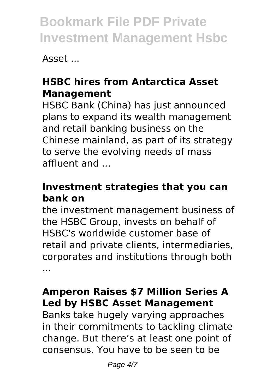Asset ...

### **HSBC hires from Antarctica Asset Management**

HSBC Bank (China) has just announced plans to expand its wealth management and retail banking business on the Chinese mainland, as part of its strategy to serve the evolving needs of mass affluent and ...

### **Investment strategies that you can bank on**

the investment management business of the HSBC Group, invests on behalf of HSBC's worldwide customer base of retail and private clients, intermediaries, corporates and institutions through both ...

### **Amperon Raises \$7 Million Series A Led by HSBC Asset Management**

Banks take hugely varying approaches in their commitments to tackling climate change. But there's at least one point of consensus. You have to be seen to be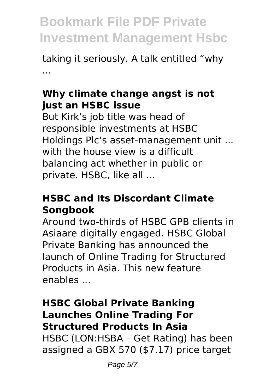taking it seriously. A talk entitled "why ...

#### **Why climate change angst is not just an HSBC issue**

But Kirk's job title was head of responsible investments at HSBC Holdings Plc's asset-management unit ... with the house view is a difficult balancing act whether in public or private. HSBC, like all ...

#### **HSBC and Its Discordant Climate Songbook**

Around two-thirds of HSBC GPB clients in Asiaare digitally engaged. HSBC Global Private Banking has announced the launch of Online Trading for Structured Products in Asia. This new feature enables ...

#### **HSBC Global Private Banking Launches Online Trading For Structured Products In Asia**

HSBC (LON:HSBA – Get Rating) has been assigned a GBX 570 (\$7.17) price target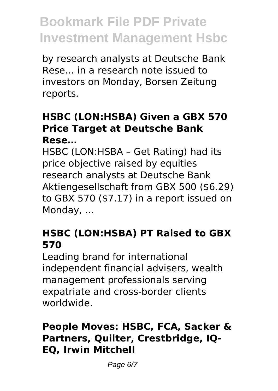by research analysts at Deutsche Bank Rese… in a research note issued to investors on Monday, Borsen Zeitung reports.

#### **HSBC (LON:HSBA) Given a GBX 570 Price Target at Deutsche Bank Rese…**

HSBC (LON:HSBA – Get Rating) had its price objective raised by equities research analysts at Deutsche Bank Aktiengesellschaft from GBX 500 (\$6.29) to GBX 570 (\$7.17) in a report issued on Monday, ...

### **HSBC (LON:HSBA) PT Raised to GBX 570**

Leading brand for international independent financial advisers, wealth management professionals serving expatriate and cross-border clients worldwide.

### **People Moves: HSBC, FCA, Sacker & Partners, Quilter, Crestbridge, IQ-EQ, Irwin Mitchell**

Page 6/7